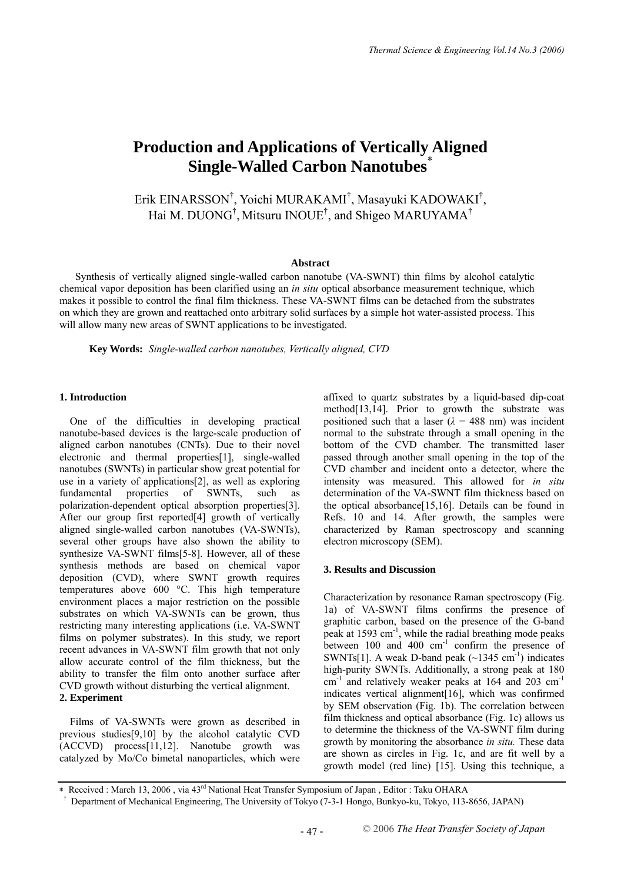# **Production and Applications of Vertically Aligned Single-Walled Carbon Nanotubes**\*

Erik EINARSSON<sup>†</sup>, Yoichi MURAKAMI<sup>†</sup>, Masayuki KADOWAKI<sup>†</sup>, Hai M. DUONG<sup>†</sup>, Mitsuru INOUE<sup>†</sup>, and Shigeo MARUYAMA<sup>†</sup>

## **Abstract**

Synthesis of vertically aligned single-walled carbon nanotube (VA-SWNT) thin films by alcohol catalytic chemical vapor deposition has been clarified using an *in situ* optical absorbance measurement technique, which makes it possible to control the final film thickness. These VA-SWNT films can be detached from the substrates on which they are grown and reattached onto arbitrary solid surfaces by a simple hot water-assisted process. This will allow many new areas of SWNT applications to be investigated.

**Key Words:** *Single-walled carbon nanotubes, Vertically aligned, CVD* 

# **1. Introduction**

One of the difficulties in developing practical nanotube-based devices is the large-scale production of aligned carbon nanotubes (CNTs). Due to their novel electronic and thermal properties[1], single-walled nanotubes (SWNTs) in particular show great potential for use in a variety of applications[2], as well as exploring fundamental properties of SWNTs, such as polarization-dependent optical absorption properties[3]. After our group first reported[4] growth of vertically aligned single-walled carbon nanotubes (VA-SWNTs), several other groups have also shown the ability to synthesize VA-SWNT films[5-8]. However, all of these synthesis methods are based on chemical vapor deposition (CVD), where SWNT growth requires temperatures above 600 °C. This high temperature environment places a major restriction on the possible substrates on which VA-SWNTs can be grown, thus restricting many interesting applications (i.e. VA-SWNT films on polymer substrates). In this study, we report recent advances in VA-SWNT film growth that not only allow accurate control of the film thickness, but the ability to transfer the film onto another surface after CVD growth without disturbing the vertical alignment. **2. Experiment** 

Films of VA-SWNTs were grown as described in previous studies[9,10] by the alcohol catalytic CVD (ACCVD) process[11,12]. Nanotube growth was catalyzed by Mo/Co bimetal nanoparticles, which were affixed to quartz substrates by a liquid-based dip-coat method[13,14]. Prior to growth the substrate was positioned such that a laser ( $\lambda = 488$  nm) was incident normal to the substrate through a small opening in the bottom of the CVD chamber. The transmitted laser passed through another small opening in the top of the CVD chamber and incident onto a detector, where the intensity was measured. This allowed for *in situ* determination of the VA-SWNT film thickness based on the optical absorbance[15,16]. Details can be found in Refs. 10 and 14. After growth, the samples were characterized by Raman spectroscopy and scanning electron microscopy (SEM).

#### **3. Results and Discussion**

Characterization by resonance Raman spectroscopy (Fig. 1a) of VA-SWNT films confirms the presence of graphitic carbon, based on the presence of the G-band peak at 1593 cm<sup>-1</sup>, while the radial breathing mode peaks between  $100$  and  $400$   $cm^{-1}$  confirm the presence of SWNTs[1]. A weak D-band peak  $(\sim 1345 \text{ cm}^{-1})$  indicates high-purity SWNTs. Additionally, a strong peak at 180 cm-1 and relatively weaker peaks at 164 and 203 cm-1 indicates vertical alignment[16], which was confirmed by SEM observation (Fig. 1b). The correlation between film thickness and optical absorbance (Fig. 1c) allows us to determine the thickness of the VA-SWNT film during growth by monitoring the absorbance *in situ.* These data are shown as circles in Fig. 1c, and are fit well by a growth model (red line) [15]. Using this technique, a

<sup>∗</sup> Received : March 13, 2006 , via 43rd National Heat Transfer Symposium of Japan , Editor : Taku OHARA

<sup>†</sup> Department of Mechanical Engineering, The University of Tokyo (7-3-1 Hongo, Bunkyo-ku, Tokyo, 113-8656, JAPAN)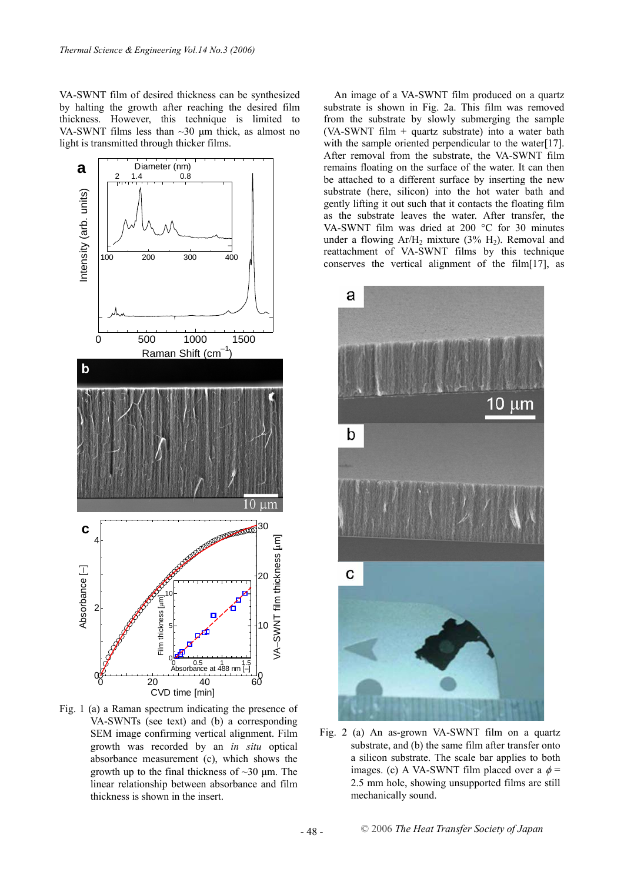VA-SWNT film of desired thickness can be synthesized by halting the growth after reaching the desired film thickness. However, this technique is limited to VA-SWNT films less than ~30 μm thick, as almost no light is transmitted through thicker films.



Fig. 1 (a) a Raman spectrum indicating the presence of VA-SWNTs (see text) and (b) a corresponding SEM image confirming vertical alignment. Film growth was recorded by an *in situ* optical absorbance measurement (c), which shows the growth up to the final thickness of  $\sim$ 30  $\mu$ m. The linear relationship between absorbance and film thickness is shown in the insert.

An image of a VA-SWNT film produced on a quartz substrate is shown in Fig. 2a. This film was removed from the substrate by slowly submerging the sample (VA-SWNT film + quartz substrate) into a water bath with the sample oriented perpendicular to the water[17]. After removal from the substrate, the VA-SWNT film remains floating on the surface of the water. It can then be attached to a different surface by inserting the new substrate (here, silicon) into the hot water bath and gently lifting it out such that it contacts the floating film as the substrate leaves the water. After transfer, the VA-SWNT film was dried at 200 °C for 30 minutes under a flowing  $Ar/H_2$  mixture (3%  $H_2$ ). Removal and reattachment of VA-SWNT films by this technique conserves the vertical alignment of the film[17], as



Fig. 2 (a) An as-grown VA-SWNT film on a quartz substrate, and (b) the same film after transfer onto a silicon substrate. The scale bar applies to both images. (c) A VA-SWNT film placed over a  $\phi$  = 2.5 mm hole, showing unsupported films are still mechanically sound.